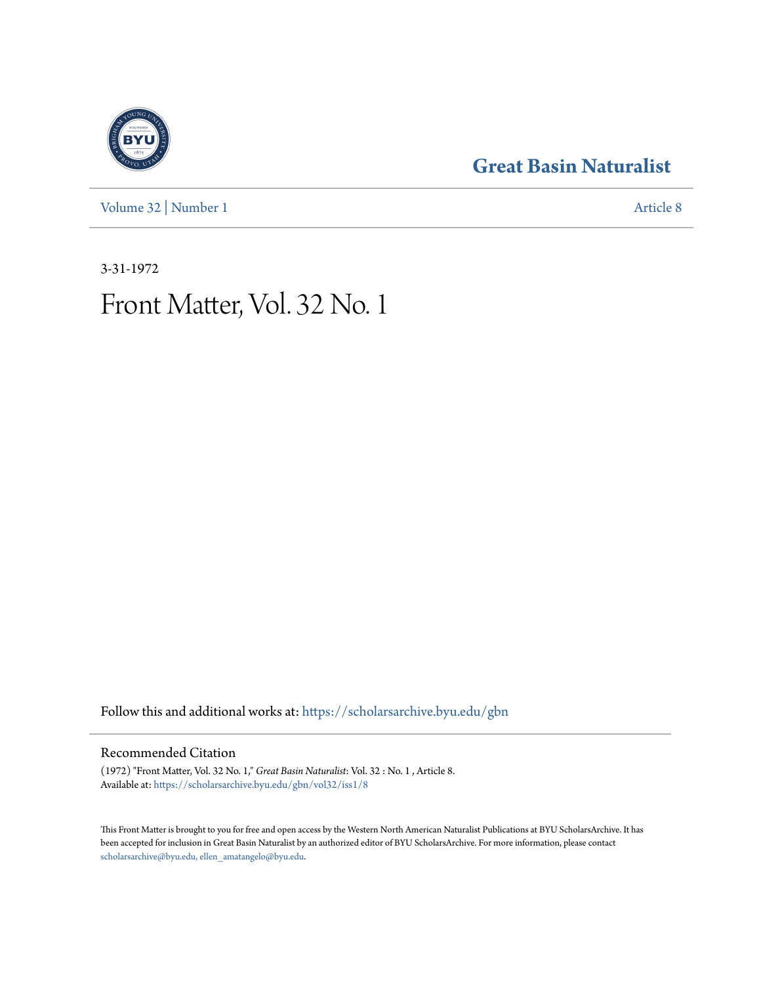### **[Great Basin Naturalist](https://scholarsarchive.byu.edu/gbn?utm_source=scholarsarchive.byu.edu%2Fgbn%2Fvol32%2Fiss1%2F8&utm_medium=PDF&utm_campaign=PDFCoverPages)**

[Volume 32](https://scholarsarchive.byu.edu/gbn/vol32?utm_source=scholarsarchive.byu.edu%2Fgbn%2Fvol32%2Fiss1%2F8&utm_medium=PDF&utm_campaign=PDFCoverPages) | [Number 1](https://scholarsarchive.byu.edu/gbn/vol32/iss1?utm_source=scholarsarchive.byu.edu%2Fgbn%2Fvol32%2Fiss1%2F8&utm_medium=PDF&utm_campaign=PDFCoverPages) [Article 8](https://scholarsarchive.byu.edu/gbn/vol32/iss1/8?utm_source=scholarsarchive.byu.edu%2Fgbn%2Fvol32%2Fiss1%2F8&utm_medium=PDF&utm_campaign=PDFCoverPages)

3-31-1972

## Front Matter, Vol. 32 No. 1

Follow this and additional works at: [https://scholarsarchive.byu.edu/gbn](https://scholarsarchive.byu.edu/gbn?utm_source=scholarsarchive.byu.edu%2Fgbn%2Fvol32%2Fiss1%2F8&utm_medium=PDF&utm_campaign=PDFCoverPages)

#### Recommended Citation

(1972) "Front Matter, Vol. 32 No. 1," *Great Basin Naturalist*: Vol. 32 : No. 1 , Article 8. Available at: [https://scholarsarchive.byu.edu/gbn/vol32/iss1/8](https://scholarsarchive.byu.edu/gbn/vol32/iss1/8?utm_source=scholarsarchive.byu.edu%2Fgbn%2Fvol32%2Fiss1%2F8&utm_medium=PDF&utm_campaign=PDFCoverPages)

This Front Matter is brought to you for free and open access by the Western North American Naturalist Publications at BYU ScholarsArchive. It has been accepted for inclusion in Great Basin Naturalist by an authorized editor of BYU ScholarsArchive. For more information, please contact [scholarsarchive@byu.edu, ellen\\_amatangelo@byu.edu.](mailto:scholarsarchive@byu.edu,%20ellen_amatangelo@byu.edu)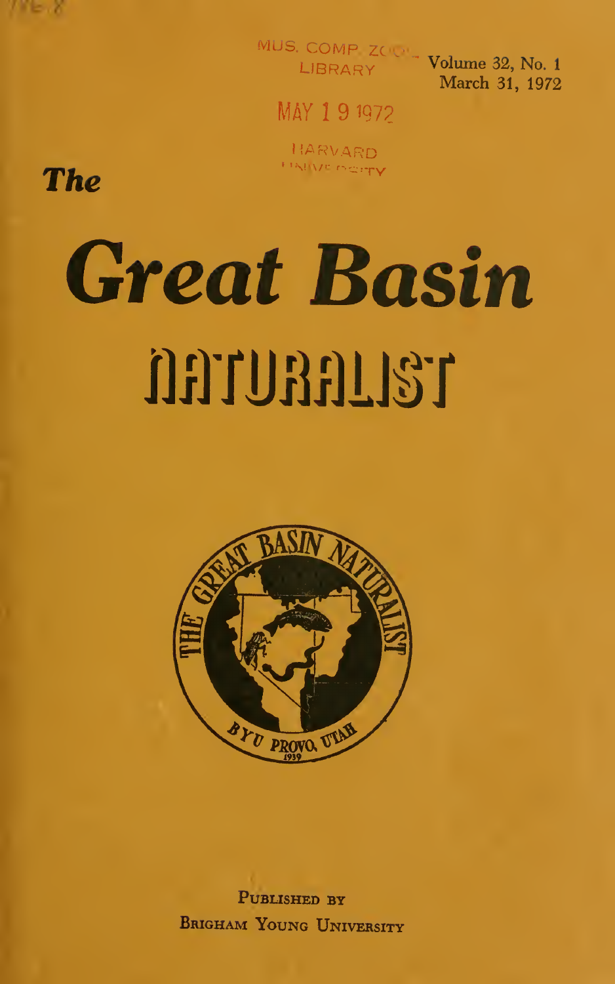

MUS. COMP ZOUR- Volume 32, No. 1

March 31, 1972

MAY 191972

HARVARD **HARVE BOTTY** 

**The** 

# **Great Basin** ORTURALIST



PUBLISHED BY BRIGHAM YOUNG UNIVERSITY